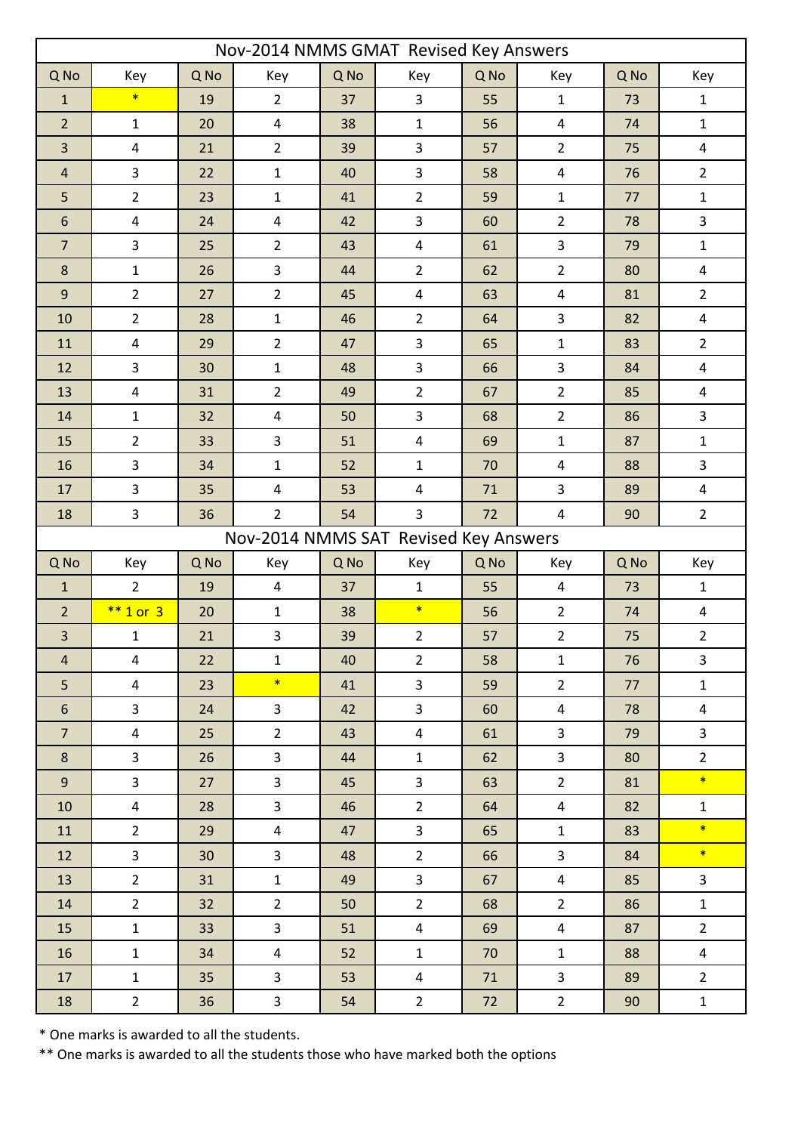| Nov-2014 NMMS GMAT Revised Key Answers |                         |      |                         |      |                         |        |                |      |                          |  |  |
|----------------------------------------|-------------------------|------|-------------------------|------|-------------------------|--------|----------------|------|--------------------------|--|--|
| Q No                                   | Key                     | Q No | Key                     | Q No | Key                     | Q No   | Key            | Q No | Key                      |  |  |
| $\mathbf{1}$                           | $\ast$                  | 19   | $\overline{2}$          | 37   | $\mathbf{3}$            | 55     | $\mathbf 1$    | 73   | $1\,$                    |  |  |
| $\overline{2}$                         | $\mathbf{1}$            | 20   | $\overline{4}$          | 38   | $\mathbf 1$             | 56     | $\pmb{4}$      | 74   | $\mathbf 1$              |  |  |
| 3                                      | $\overline{4}$          | 21   | $\overline{2}$          | 39   | 3                       | 57     | $\overline{2}$ | 75   | $\overline{4}$           |  |  |
| $\sqrt{4}$                             | $\overline{3}$          | 22   | $\mathbf{1}$            | 40   | 3                       | 58     | $\pmb{4}$      | 76   | $\overline{2}$           |  |  |
| 5                                      | $\overline{2}$          | 23   | $\mathbf 1$             | 41   | $\overline{2}$          | 59     | $\mathbf 1$    | 77   | $\mathbf{1}$             |  |  |
| $\boldsymbol{6}$                       | $\pmb{4}$               | 24   | $\pmb{4}$               | 42   | 3                       | 60     | $\overline{2}$ | 78   | $\mathbf{3}$             |  |  |
| $\overline{7}$                         | $\overline{3}$          | 25   | $\overline{2}$          | 43   | $\overline{\mathbf{4}}$ | 61     | 3              | 79   | $\mathbf 1$              |  |  |
| $\bf 8$                                | $\mathbf 1$             | 26   | $\mathbf{3}$            | 44   | $\overline{2}$          | 62     | $\overline{2}$ | 80   | $\overline{\mathcal{A}}$ |  |  |
| $\overline{9}$                         | $\overline{2}$          | 27   | $\overline{2}$          | 45   | 4                       | 63     | 4              | 81   | $\overline{2}$           |  |  |
| 10                                     | $\overline{2}$          | 28   | $1\,$                   | 46   | $\overline{2}$          | 64     | 3              | 82   | 4                        |  |  |
| 11                                     | $\overline{4}$          | 29   | $\overline{2}$          | 47   | 3                       | 65     | $\mathbf 1$    | 83   | $\overline{2}$           |  |  |
| 12                                     | $\overline{3}$          | 30   | $\mathbf 1$             | 48   | 3                       | 66     | 3              | 84   | $\overline{4}$           |  |  |
| 13                                     | $\overline{4}$          | 31   | $\overline{2}$          | 49   | $\overline{2}$          | 67     | $\overline{2}$ | 85   | $\overline{4}$           |  |  |
| 14                                     | $1\,$                   | 32   | $\pmb{4}$               | 50   | 3                       | 68     | $\overline{2}$ | 86   | 3                        |  |  |
| 15                                     | $\overline{2}$          | 33   | $\mathbf{3}$            | 51   | $\overline{\mathbf{4}}$ | 69     | $\mathbf 1$    | 87   | $\mathbf 1$              |  |  |
| 16                                     | $\overline{3}$          | 34   | $\mathbf{1}$            | 52   | $\mathbf 1$             | 70     | 4              | 88   | $\mathsf{3}$             |  |  |
| 17                                     | $\overline{3}$          | 35   | $\overline{\mathbf{4}}$ | 53   | $\overline{\mathbf{4}}$ | $71\,$ | 3              | 89   | $\pmb{4}$                |  |  |
| 18                                     | $\overline{3}$          | 36   | $\overline{2}$          | 54   | 3                       | 72     | 4              | 90   | $\overline{2}$           |  |  |
| Nov-2014 NMMS SAT Revised Key Answers  |                         |      |                         |      |                         |        |                |      |                          |  |  |
| Q No                                   | Key                     | Q No | Key                     | Q No | Key                     | Q No   | Key            | Q No | Key                      |  |  |
| $\mathbf{1}$                           | $\overline{2}$          | 19   | $\overline{4}$          | 37   | $\mathbf{1}$            | 55     | 4              | 73   | $\mathbf{1}$             |  |  |
| $\overline{2}$                         | $*$ 1 or 3              | 20   | $\mathbf{1}$            | 38   | $\ast$                  | 56     | $\overline{2}$ | 74   | 4                        |  |  |
| 3                                      | $\mathbf{1}$            | 21   | 3                       | 39   | $\overline{2}$          | 57     | $\overline{2}$ | 75   | $\overline{2}$           |  |  |
| $\overline{4}$                         | $\overline{4}$          | 22   | $\mathbf{1}$            | 40   | $2^{\circ}$             | 58     | $\mathbf{1}$   | 76   | $\overline{3}$           |  |  |
| 5 <sup>1</sup>                         | $\overline{4}$          | 23   | $\ast$                  | 41   | $\overline{3}$          | 59     | $\overline{2}$ | 77   | $\mathbf{1}$             |  |  |
| 6                                      | $\overline{3}$          | 24   | 3 <sup>1</sup>          | 42   | $\overline{3}$          | 60     | $\overline{4}$ | 78   | $\overline{4}$           |  |  |
| 7 <sup>7</sup>                         | $\overline{4}$          | 25   | $2^{\circ}$             | 43   | $\overline{4}$          | 61     | $\overline{3}$ | 79   | $\overline{\mathbf{3}}$  |  |  |
| 8                                      | $\overline{\mathbf{3}}$ | 26   | $\mathbf{3}$            | 44   | $\mathbf{1}$            | 62     | $\overline{3}$ | 80   | $\overline{2}$           |  |  |
| 9 <sup>°</sup>                         | $\overline{3}$          | 27   | $\overline{3}$          | 45   | $\overline{3}$          | 63     | $2^{\circ}$    | 81   | $\ast$                   |  |  |
| 10                                     | $\overline{4}$          | 28   | 3 <sup>1</sup>          | 46   | $2^{\circ}$             | 64     | $\overline{4}$ | 82   | $\mathbf{1}$             |  |  |
| 11                                     | $2^{\circ}$             | 29   | $\overline{4}$          | 47   | $\overline{3}$          | 65     | $\mathbf{1}$   | 83   | $\ast$                   |  |  |
| 12                                     | $\mathbf{3}$            | 30   | $\mathbf{3}$            | 48   | $2^{\circ}$             | 66     | $\mathbf{3}$   | 84   | $\ast$                   |  |  |
| 13                                     | $2^{\circ}$             | 31   | $\mathbf{1}$            | 49   | $\overline{\mathbf{3}}$ | 67     | $\overline{4}$ | 85   | $\overline{3}$           |  |  |
| 14                                     | $2^{\circ}$             | 32   | $2^{\circ}$             | 50   | 2 <sup>1</sup>          | 68     | $2^{\circ}$    | 86   | $\mathbf{1}$             |  |  |
| 15                                     | 1                       | 33   | 3 <sup>1</sup>          | 51   | $\overline{4}$          | 69     | $\overline{4}$ | 87   | $\overline{2}$           |  |  |
| 16                                     | 1                       | 34   | $\overline{4}$          | 52   | $\mathbf{1}$            | 70     | $\mathbf{1}$   | 88   | $\overline{4}$           |  |  |
| 17                                     | 1                       | 35   | $\mathbf{3}$            | 53   | $\overline{4}$          | 71     | $\overline{3}$ | 89   | $2^{\circ}$              |  |  |
| 18                                     | $2^{\circ}$             | 36   | $\mathbf{3}$            | 54   | $2^{\circ}$             | 72     | $2^{\circ}$    | 90   | $\mathbf{1}$             |  |  |

\* One marks is awarded to all the students.

\*\* One marks is awarded to all the students those who have marked both the options